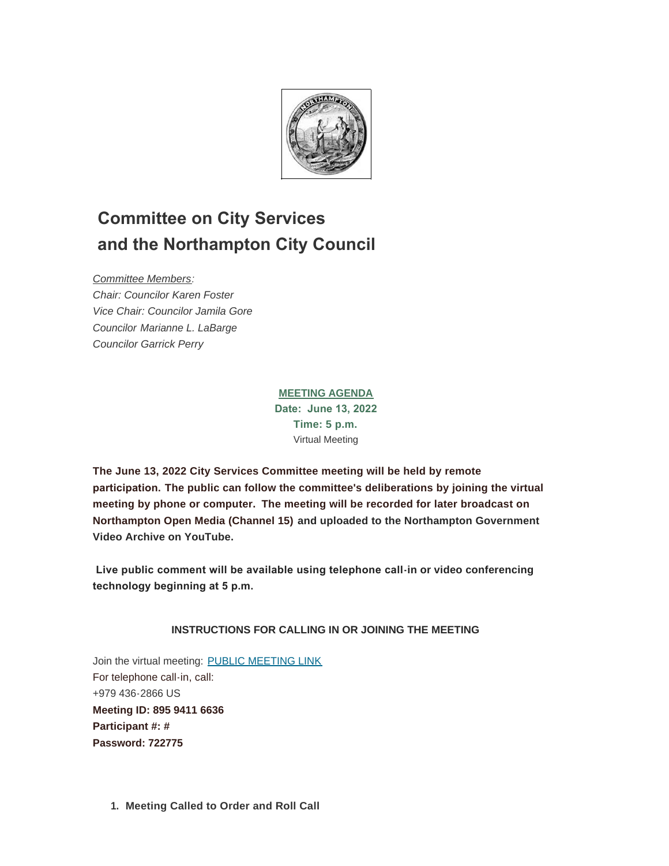

# **Committee on City Services and the Northampton City Council**

*Committee Members:*

*Chair: Councilor Karen Foster Vice Chair: Councilor Jamila Gore Councilor Marianne L. LaBarge Councilor Garrick Perry*

# **MEETING AGENDA**

**Date: June 13, 2022 Time: 5 p.m.** Virtual Meeting

**The June 13, 2022 City Services Committee meeting will be held by remote participation. The public can follow the committee's deliberations by joining the virtual meeting by phone or computer. The meeting will be recorded for later broadcast on Northampton Open Media (Channel 15) and uploaded to the Northampton Government Video Archive on YouTube.**

 **Live public comment will be available using telephone call-in or video conferencing technology beginning at 5 p.m.** 

## **INSTRUCTIONS FOR CALLING IN OR JOINING THE MEETING**

Join the virtual meeting: [PUBLIC MEETING LINK](https://us06web.zoom.us/j/89594116636?pwd=czBkeXVLZ29jSFNqUi9pNjBJTVRGZz09) For telephone call-in, call: +979 436-2866 US **Meeting ID: 895 9411 6636 Participant #: # Password: 722775**

**Meeting Called to Order and Roll Call 1.**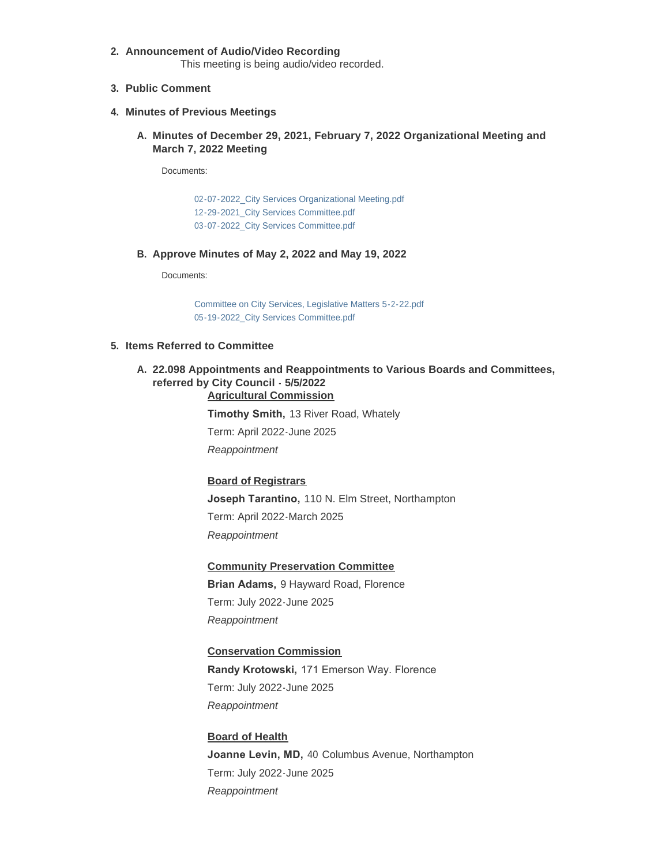- **Announcement of Audio/Video Recording 2.** This meeting is being audio/video recorded.
- **Public Comment 3.**
- **Minutes of Previous Meetings 4.**
	- **Minutes of December 29, 2021, February 7, 2022 Organizational Meeting and A. March 7, 2022 Meeting**

Documents:

[02-07-2022\\_City Services Organizational Meeting.pdf](https://northamptonma.gov/AgendaCenter/ViewFile/Item/19246?fileID=166989) [12-29-2021\\_City Services Committee.pdf](https://northamptonma.gov/AgendaCenter/ViewFile/Item/19246?fileID=166990) [03-07-2022\\_City Services Committee.pdf](https://northamptonma.gov/AgendaCenter/ViewFile/Item/19246?fileID=166991)

**Approve Minutes of May 2, 2022 and May 19, 2022 B.**

Documents:

[Committee on City Services, Legislative Matters 5-2-22.pdf](https://northamptonma.gov/AgendaCenter/ViewFile/Item/19253?fileID=167126) [05-19-2022\\_City Services Committee.pdf](https://northamptonma.gov/AgendaCenter/ViewFile/Item/19253?fileID=168153)

### **Items Referred to Committee 5.**

# **22.098 Appointments and Reappointments to Various Boards and Committees, A. referred by City Council - 5/5/2022**

**Agricultural Commission**

**Timothy Smith,** 13 River Road, Whately

Term: April 2022-June 2025

*Reappointment*

### **Board of Registrars**

**Joseph Tarantino,** 110 N. Elm Street, Northampton Term: April 2022-March 2025

*Reappointment*

### **Community Preservation Committee**

**Brian Adams,** 9 Hayward Road, Florence Term: July 2022-June 2025 *Reappointment*

### **Conservation Commission**

**Randy Krotowski,** 171 Emerson Way. Florence Term: July 2022-June 2025 *Reappointment*

**Board of Health Joanne Levin, MD,** 40 Columbus Avenue, Northampton Term: July 2022-June 2025 *Reappointment*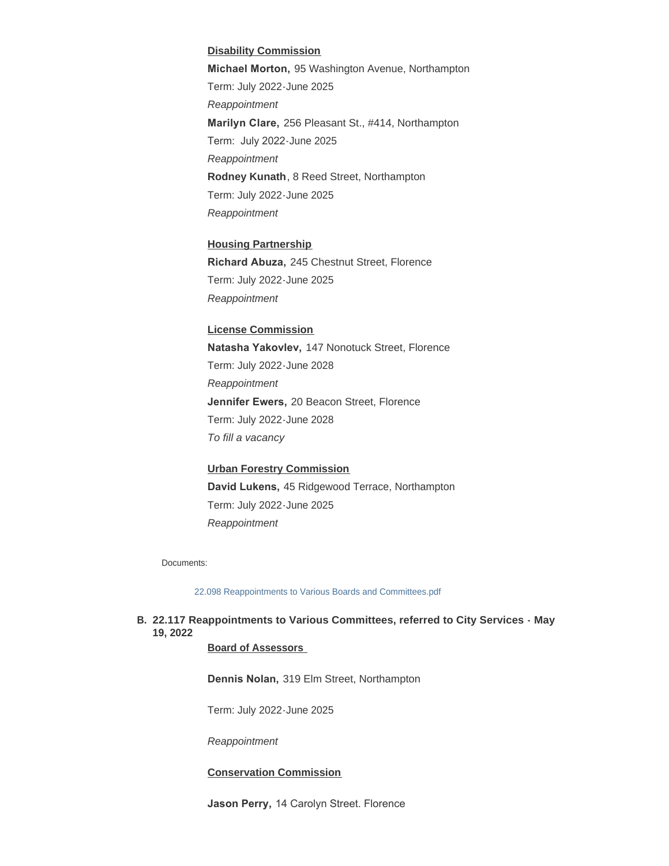### **Disability Commission**

**Michael Morton,** 95 Washington Avenue, Northampton Term: July 2022-June 2025 *Reappointment* **Marilyn Clare,** 256 Pleasant St., #414, Northampton Term: July 2022-June 2025 *Reappointment* **Rodney Kunath**, 8 Reed Street, Northampton Term: July 2022-June 2025 *Reappointment*

**Housing Partnership Richard Abuza,** 245 Chestnut Street, Florence Term: July 2022-June 2025 *Reappointment*

#### **License Commission**

**Natasha Yakovlev,** 147 Nonotuck Street, Florence Term: July 2022-June 2028 *Reappointment* **Jennifer Ewers,** 20 Beacon Street, Florence Term: July 2022-June 2028 *To fill a vacancy*

# **Urban Forestry Commission**

**David Lukens,** 45 Ridgewood Terrace, Northampton Term: July 2022-June 2025 *Reappointment*

Documents:

[22.098 Reappointments to Various Boards and Committees.pdf](https://northamptonma.gov/AgendaCenter/ViewFile/Item/19251?fileID=167123)

### **22.117 Reappointments to Various Committees, referred to City Services - May B. 19, 2022**

### **Board of Assessors**

**Dennis Nolan,** 319 Elm Street, Northampton

Term: July 2022-June 2025

*Reappointment*

### **Conservation Commission**

**Jason Perry,** 14 Carolyn Street. Florence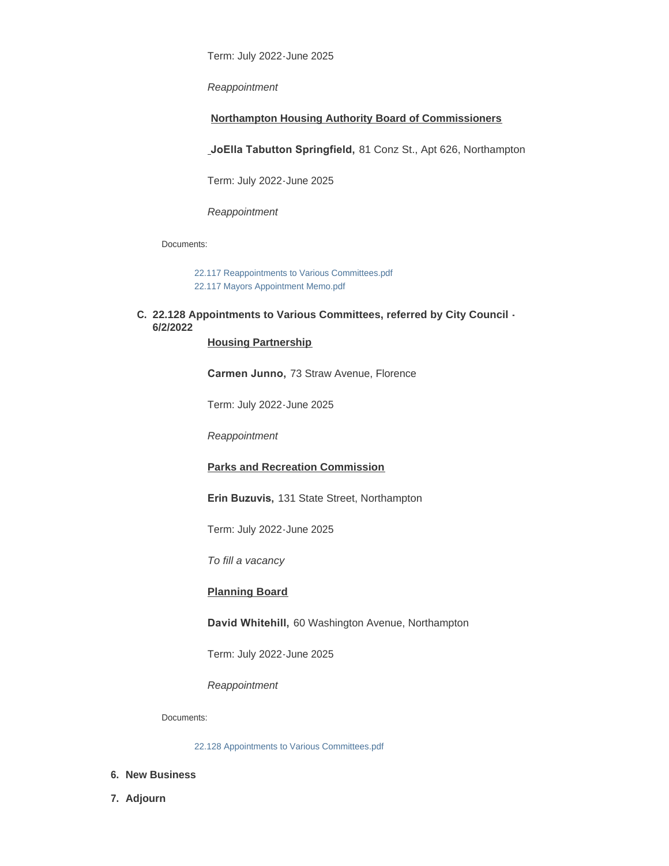Term: July 2022-June 2025

*Reappointment*

### **Northampton Housing Authority Board of Commissioners**

**JoElla Tabutton Springfield,** 81 Conz St., Apt 626, Northampton

Term: July 2022-June 2025

*Reappointment*

Documents:

[22.117 Reappointments to Various Committees.pdf](https://northamptonma.gov/AgendaCenter/ViewFile/Item/19252?fileID=167124) [22.117 Mayors Appointment Memo.pdf](https://northamptonma.gov/AgendaCenter/ViewFile/Item/19252?fileID=167125)

### **22.128 Appointments to Various Committees, referred by City Council - C. 6/2/2022**

### **Housing Partnership**

**Carmen Junno,** 73 Straw Avenue, Florence

Term: July 2022-June 2025

*Reappointment*

### **Parks and Recreation Commission**

**Erin Buzuvis,** 131 State Street, Northampton

Term: July 2022-June 2025

*To fill a vacancy*

### **Planning Board**

**David Whitehill,** 60 Washington Avenue, Northampton

Term: July 2022-June 2025

*Reappointment*

Documents:

[22.128 Appointments to Various Committees.pdf](https://northamptonma.gov/AgendaCenter/ViewFile/Item/19334?fileID=167997)

- **New Business 6.**
- **Adjourn 7.**